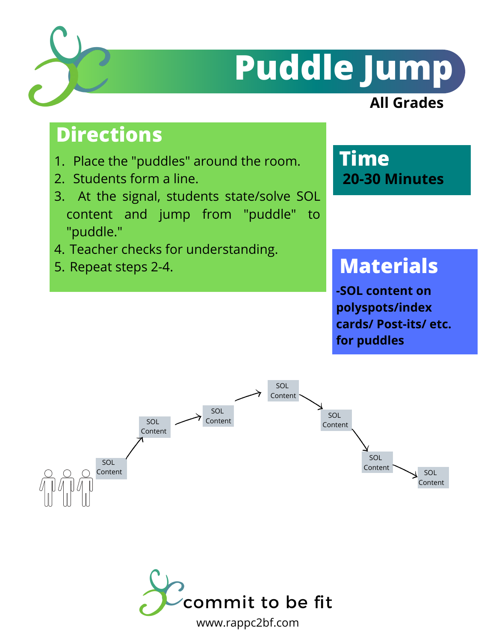

## **Puddle Jump**

#### **All Grades**

### **Directions**

- 1. Place the "puddles" around the room.
- 2. Students form a line.
- At the signal, students state/solve SOL 3. content and jump from "puddle" to "puddle."
- 4. Teacher checks for understanding.
- 5. Repeat steps 2-4.

**Time 20-30 Minutes**

### **Materials**

**-SOL content on polyspots/index cards/ Post-its/ etc. for puddles**